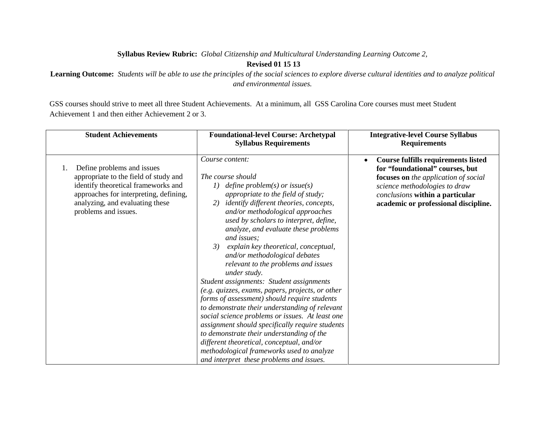## **Syllabus Review Rubric:** *Global Citizenship and Multicultural Understanding Learning Outcome 2,*

## **Revised 01 15 13**

**Learning Outcome:** *Students will be able to use the principles of the social sciences to explore diverse cultural identities and to analyze political and environmental issues.*

GSS courses should strive to meet all three Student Achievements. At a minimum, all GSS Carolina Core courses must meet Student Achievement 1 and then either Achievement 2 or 3.

| <b>Student Achievements</b>                                                                                                                                                                                           | <b>Foundational-level Course: Archetypal</b><br><b>Syllabus Requirements</b>                                                                                                                                                                                                                                                                                                                                                                                                                                                                                                                                                                                                                                                                                                                                                                                                                                                                   | <b>Integrative-level Course Syllabus</b><br><b>Requirements</b>                                                                                                                                                                         |
|-----------------------------------------------------------------------------------------------------------------------------------------------------------------------------------------------------------------------|------------------------------------------------------------------------------------------------------------------------------------------------------------------------------------------------------------------------------------------------------------------------------------------------------------------------------------------------------------------------------------------------------------------------------------------------------------------------------------------------------------------------------------------------------------------------------------------------------------------------------------------------------------------------------------------------------------------------------------------------------------------------------------------------------------------------------------------------------------------------------------------------------------------------------------------------|-----------------------------------------------------------------------------------------------------------------------------------------------------------------------------------------------------------------------------------------|
| Define problems and issues<br>1.<br>appropriate to the field of study and<br>identify theoretical frameworks and<br>approaches for interpreting, defining,<br>analyzing, and evaluating these<br>problems and issues. | Course content:<br>The course should<br>define problem(s) or issue(s)<br>I)<br>appropriate to the field of study;<br><i>identify different theories, concepts,</i><br>2)<br>and/or methodological approaches<br>used by scholars to interpret, define,<br>analyze, and evaluate these problems<br>and issues;<br>explain key theoretical, conceptual,<br>3)<br>and/or methodological debates<br>relevant to the problems and issues<br>under study.<br>Student assignments: Student assignments<br>(e.g. quizzes, exams, papers, projects, or other<br>forms of assessment) should require students<br>to demonstrate their understanding of relevant<br>social science problems or issues. At least one<br>assignment should specifically require students<br>to demonstrate their understanding of the<br>different theoretical, conceptual, and/or<br>methodological frameworks used to analyze<br>and interpret these problems and issues. | Course fulfills requirements listed<br>$\bullet$<br>for "foundational" courses, but<br>focuses on the application of social<br>science methodologies to draw<br>conclusions within a particular<br>academic or professional discipline. |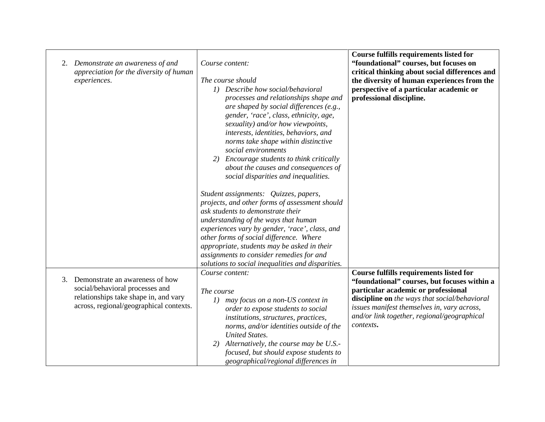| Demonstrate an awareness of and<br>2.<br>appreciation for the diversity of human<br>experiences.                                                             | Course content:<br>The course should<br>1) Describe how social/behavioral<br>processes and relationships shape and<br>are shaped by social differences (e.g.,<br>gender, 'race', class, ethnicity, age,<br>sexuality) and/or how viewpoints,<br>interests, identities, behaviors, and<br>norms take shape within distinctive<br>social environments<br>2) Encourage students to think critically<br>about the causes and consequences of<br>social disparities and inequalities. | <b>Course fulfills requirements listed for</b><br>"foundational" courses, but focuses on<br>critical thinking about social differences and<br>the diversity of human experiences from the<br>perspective of a particular academic or<br>professional discipline.                                  |
|--------------------------------------------------------------------------------------------------------------------------------------------------------------|----------------------------------------------------------------------------------------------------------------------------------------------------------------------------------------------------------------------------------------------------------------------------------------------------------------------------------------------------------------------------------------------------------------------------------------------------------------------------------|---------------------------------------------------------------------------------------------------------------------------------------------------------------------------------------------------------------------------------------------------------------------------------------------------|
|                                                                                                                                                              | Student assignments: Quizzes, papers,<br>projects, and other forms of assessment should<br>ask students to demonstrate their<br>understanding of the ways that human<br>experiences vary by gender, 'race', class, and<br>other forms of social difference. Where<br>appropriate, students may be asked in their<br>assignments to consider remedies for and<br>solutions to social inequalities and disparities.                                                                |                                                                                                                                                                                                                                                                                                   |
| Demonstrate an awareness of how<br>3.<br>social/behavioral processes and<br>relationships take shape in, and vary<br>across, regional/geographical contexts. | Course content:<br>The course<br>1) may focus on a non-US context in<br>order to expose students to social<br>institutions, structures, practices,<br>norms, and/or identities outside of the<br><b>United States.</b><br>2) Alternatively, the course may be U.S.-<br>focused, but should expose students to<br>geographical/regional differences in                                                                                                                            | <b>Course fulfills requirements listed for</b><br>"foundational" courses, but focuses within a<br>particular academic or professional<br>discipline on the ways that social/behavioral<br>issues manifest themselves in, vary across,<br>and/or link together, regional/geographical<br>contexts. |